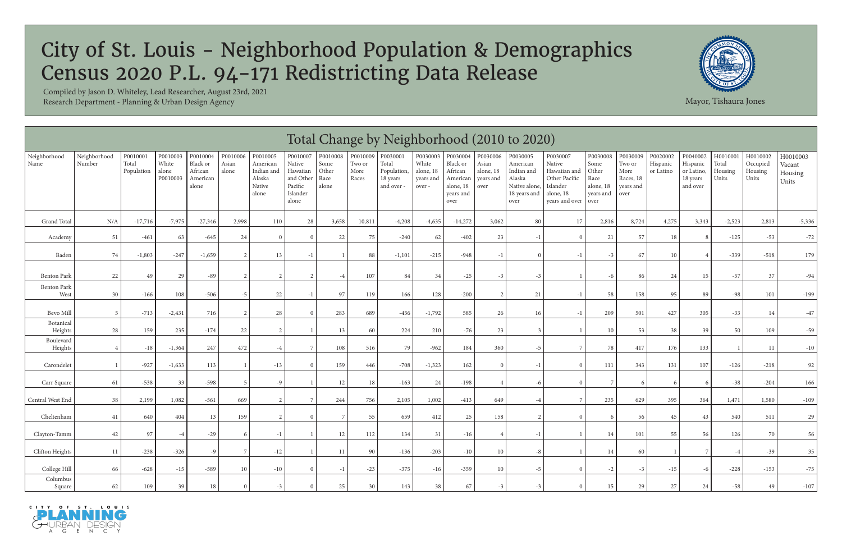|                      | Total Change by Neighborhood (2010 to 2020)<br>Neighborhood<br>P0010003<br>P0010009<br>P0030001<br>P0030003<br>P0020002<br>P0010001<br>P0010004<br>P0010006<br>P0010005<br>P0010007<br>P0010008<br>P0030004<br>P0030006<br>P0030005<br>P0030008<br>P0030009<br>P0040002<br>H001000<br>H0010002<br>P0030007<br>H0010003 |                     |                            |                                          |                |                                                     |                                                                 |                                |                         |                                                |                                           |                                                                   |                                         |                                                                           |                                                                                           |                                                 |                                                  |                       |                                                |                           |                              |                            |
|----------------------|------------------------------------------------------------------------------------------------------------------------------------------------------------------------------------------------------------------------------------------------------------------------------------------------------------------------|---------------------|----------------------------|------------------------------------------|----------------|-----------------------------------------------------|-----------------------------------------------------------------|--------------------------------|-------------------------|------------------------------------------------|-------------------------------------------|-------------------------------------------------------------------|-----------------------------------------|---------------------------------------------------------------------------|-------------------------------------------------------------------------------------------|-------------------------------------------------|--------------------------------------------------|-----------------------|------------------------------------------------|---------------------------|------------------------------|----------------------------|
| Neighborhood<br>Name | Number                                                                                                                                                                                                                                                                                                                 | Total<br>Population | White<br>alone<br>P0010003 | Black or<br>African<br>American<br>alone | Asian<br>alone | American<br>Indian and<br>Alaska<br>Native<br>alone | Native<br>Hawaiian<br>and Other<br>Pacific<br>Islander<br>alone | Some<br>Other<br>Race<br>alone | Two or<br>More<br>Races | Total<br>Population,<br>18 years<br>and over - | White<br>alone, 18<br>years and<br>over - | Black or<br>African<br>American<br>alone, 18<br>years and<br>over | Asian<br>alone, 18<br>years and<br>over | American<br>Indian and<br>Alaska<br>Native alone,<br>18 years and<br>over | Native<br>Hawaiian and<br>Other Pacific<br>Islander<br>alone, 18<br>years and over   over | Some<br>Other<br>Race<br>alone, 18<br>years and | Two or<br>More<br>Races, 18<br>years and<br>over | Hispanic<br>or Latino | Hispanic<br>or Latino,<br>18 years<br>and over | Total<br>Housing<br>Units | Occupied<br>Housing<br>Units | Vacant<br>Housing<br>Units |
| <b>Grand Total</b>   | N/A                                                                                                                                                                                                                                                                                                                    | $-17,716$           | $-7,975$                   | $-27,346$                                | 2,998          | 110                                                 | 28                                                              | 3,658                          | 10,811                  | $-4,208$                                       | $-4,635$                                  | $-14,272$                                                         | 3,062                                   | 80                                                                        | 17                                                                                        | 2,816                                           | 8,724                                            | 4,275                 | 3,343                                          | $-2,523$                  | 2,813                        | $-5,336$                   |
| Academy              | 51                                                                                                                                                                                                                                                                                                                     | $-461$              | 63                         | $-645$                                   | 24             | $\Omega$                                            | $\Omega$                                                        | 22                             | 75                      | $-240$                                         | 62                                        | $-402$                                                            | 23                                      | $-1$                                                                      |                                                                                           | 21                                              | 57                                               | 18                    |                                                | $-125$                    | $-53$                        | $-72$                      |
| Baden                | 74                                                                                                                                                                                                                                                                                                                     | $-1,803$            | $-247$                     | $-1,659$                                 | $\gamma$       | 13                                                  | $-1$                                                            |                                | 88                      | $-1,101$                                       | $-215$                                    | -948                                                              | $-1$                                    | $\Omega$                                                                  |                                                                                           | $-3$                                            | 67                                               | 10                    |                                                | $-339$                    | $-518$                       | 179                        |
| <b>Benton Park</b>   | 22                                                                                                                                                                                                                                                                                                                     | 49                  | 29                         | $-89$                                    |                |                                                     |                                                                 | -4                             | 107                     | 84                                             | 34                                        | $-25$                                                             | $-3$                                    | $-3$                                                                      |                                                                                           |                                                 | 86                                               | 24                    | 15                                             | $-57$                     | 37                           | $-94$                      |
| Benton Park<br>West  | 30                                                                                                                                                                                                                                                                                                                     | $-166$              | 108                        | $-506$                                   | $-5$           | 22                                                  | $-1$                                                            | 97                             | 119                     | 166                                            | 128                                       | $-200$                                                            | $\mathcal{L}$                           | 21                                                                        |                                                                                           | 58                                              | 158                                              | 95                    | 89                                             | $-98$                     | 101                          | $-199$                     |
| <b>Bevo Mill</b>     | - 5                                                                                                                                                                                                                                                                                                                    | $-713$              | $-2,431$                   | 716                                      |                | 28                                                  | $\Omega$                                                        | 283                            | 689                     | $-456$                                         | $-1,792$                                  | 585                                                               | 26                                      | 16                                                                        |                                                                                           | 209                                             | 501                                              | 427                   | 305                                            | $-33$                     | 14                           | $-47$                      |
| Botanical<br>Heights | 28                                                                                                                                                                                                                                                                                                                     | 159                 | 235                        | $-174$                                   | 22             |                                                     |                                                                 | 13                             | 60                      | 224                                            | 210                                       | $-76$                                                             | 23                                      | -3                                                                        |                                                                                           | 10                                              | 53                                               | 38                    | 39                                             | 50                        | 109                          | $-59$                      |
| Boulevard<br>Heights |                                                                                                                                                                                                                                                                                                                        | $-18$               | $-1,364$                   | 247                                      | 472            | $-4$                                                |                                                                 | 108                            | 516                     | 79                                             | $-962$                                    | 184                                                               | 360                                     | $-5$                                                                      |                                                                                           | 78                                              | 417                                              | 176                   | 133                                            |                           | 11                           | $-10$                      |
| Carondelet           |                                                                                                                                                                                                                                                                                                                        | $-927$              | $-1,633$                   | 113                                      |                | $-13$                                               | $\Omega$                                                        | 159                            | 446                     | $-708$                                         | $-1,323$                                  | 162                                                               | $\Omega$                                | $-1$                                                                      | $\Omega$                                                                                  | 111                                             | 343                                              | 131                   | 107                                            | $-126$                    | $-218$                       | 92                         |
| Carr Square          | 61                                                                                                                                                                                                                                                                                                                     | $-538$              | 33                         | $-598$                                   |                | $-9$                                                |                                                                 | 12                             | 18                      | $-163$                                         | 24                                        | $-198$                                                            |                                         | -6                                                                        |                                                                                           |                                                 |                                                  |                       |                                                | $-38$                     | $-204$                       | 166                        |
| Central West End     | 38                                                                                                                                                                                                                                                                                                                     | 2,199               | 1,082                      | $-561$                                   | 669            | 2                                                   | -7                                                              | 244                            | 756                     | 2,105                                          | 1,002                                     | $-413$                                                            | 649                                     | $-4$                                                                      | 7                                                                                         | 235                                             | 629                                              | 395                   | 364                                            | 1,471                     | 1,580                        | $-109$                     |
| Cheltenham           | 41                                                                                                                                                                                                                                                                                                                     | 640                 | 404                        | 13                                       | 159            |                                                     | $\Omega$                                                        |                                | 55                      | 659                                            | 412                                       | 25                                                                | 158                                     | 2                                                                         |                                                                                           |                                                 | 56                                               | 45                    | 43                                             | 540                       | 511                          | 29                         |
| Clayton-Tamm         | 42                                                                                                                                                                                                                                                                                                                     | 97                  |                            | $-29$                                    |                | $-1$                                                |                                                                 | 12                             | 112                     | 134                                            | 31                                        | $-16$                                                             |                                         | $-1$                                                                      |                                                                                           | 14                                              | 101                                              | 55                    | 56                                             | 126                       | 70                           | 56                         |
| Clifton Heights      | 11                                                                                                                                                                                                                                                                                                                     | $-238$              | $-326$                     | -9                                       | 7              | $-12$                                               |                                                                 | 11                             | 90                      | $-136$                                         | $-203$                                    | $-10$                                                             | 10 <sup>1</sup>                         | -8                                                                        |                                                                                           | 14                                              | 60                                               |                       |                                                |                           | $-39$                        | 35                         |
| College Hill         | 66                                                                                                                                                                                                                                                                                                                     | $-628$              | $-15$                      | $-589$                                   | 10             | $-10$                                               | $\Omega$                                                        | $-1$                           | $-23$                   | $-375$                                         | $-16$                                     | $-359$                                                            | 10 <sup>1</sup>                         | $-5$                                                                      | $\Omega$                                                                                  | $-2$                                            | $-3$                                             | $-15$                 |                                                | $-228$                    | $-153$                       | $-75$                      |
| Columbus<br>Square   | 62                                                                                                                                                                                                                                                                                                                     | 109                 | 39                         | 18                                       |                | $-3$                                                | $\Omega$                                                        | 25                             | 30                      | 143                                            | 38                                        | 67                                                                | $-3$                                    | $-3$                                                                      |                                                                                           | 15                                              | 29                                               | 27                    | 24                                             | $-58$                     | 49                           | $-107$                     |





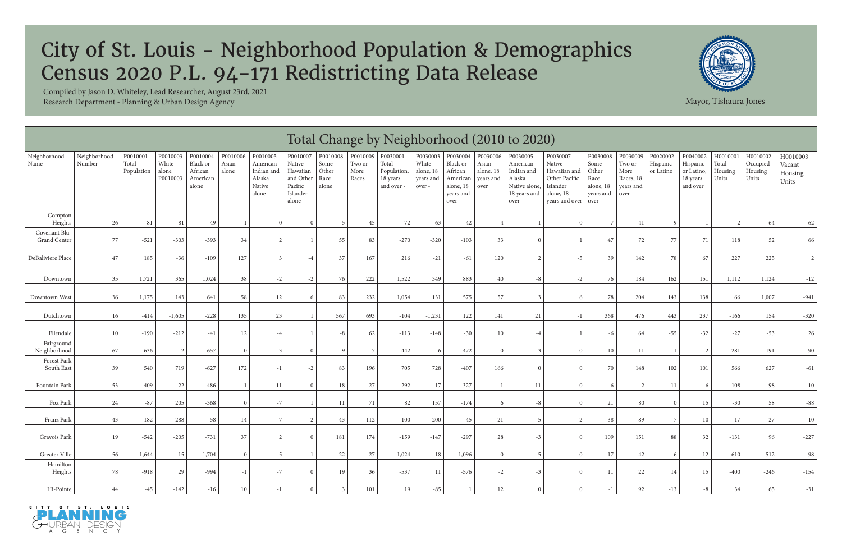|                               | Total Change by Neighborhood (2010 to 2020)<br>Neighborhood<br>P0010001<br>P0010003<br>P0010004<br>P0010006<br>P0010007<br>P0010008<br>P0010009<br>P0030001<br>P0030003<br>P0030008<br>P0030009<br>P0020002<br>H001000<br>H0010002<br>P0010005<br>P0030004<br>P0030006<br>P0030005<br>P0030007<br>P0040002<br>H0010003 |                     |                            |                                          |                |                                                     |                                                                 |                                |                         |                                                |                                          |                                                                   |                                         |                                                                           |                                                                                         |                                                 |                                                  |                       |                                                |                           |                              |                            |
|-------------------------------|------------------------------------------------------------------------------------------------------------------------------------------------------------------------------------------------------------------------------------------------------------------------------------------------------------------------|---------------------|----------------------------|------------------------------------------|----------------|-----------------------------------------------------|-----------------------------------------------------------------|--------------------------------|-------------------------|------------------------------------------------|------------------------------------------|-------------------------------------------------------------------|-----------------------------------------|---------------------------------------------------------------------------|-----------------------------------------------------------------------------------------|-------------------------------------------------|--------------------------------------------------|-----------------------|------------------------------------------------|---------------------------|------------------------------|----------------------------|
| Neighborhood<br>Name          | Number                                                                                                                                                                                                                                                                                                                 | Total<br>Population | White<br>alone<br>P0010003 | Black or<br>African<br>American<br>alone | Asian<br>alone | American<br>Indian and<br>Alaska<br>Native<br>alone | Native<br>Hawaiian<br>and Other<br>Pacific<br>Islander<br>alone | Some<br>Other<br>Race<br>alone | Two or<br>More<br>Races | Total<br>Population,<br>18 years<br>and over - | White<br>alone, 18<br>years and<br>over- | Black or<br>African<br>American<br>alone, 18<br>years and<br>over | Asian<br>alone, 18<br>years and<br>over | American<br>Indian and<br>Alaska<br>Native alone,<br>18 years and<br>over | Native<br>Hawaiian and<br>Other Pacific<br>Islander<br>alone, 18<br>years and over over | Some<br>Other<br>Race<br>alone, 18<br>years and | Two or<br>More<br>Races, 18<br>years and<br>over | Hispanic<br>or Latino | Hispanic<br>or Latino,<br>18 years<br>and over | Total<br>Housing<br>Units | Occupied<br>Housing<br>Units | Vacant<br>Housing<br>Units |
| Compton<br>Heights            | 26                                                                                                                                                                                                                                                                                                                     | 81                  | 81                         | $-49$                                    | -1             |                                                     | $\Omega$                                                        |                                | 45                      | 72                                             | 63                                       | $-42$                                                             |                                         | $-1$                                                                      |                                                                                         |                                                 | 41                                               | $\Omega$              |                                                |                           | 64                           | $-62$                      |
| Covenant Blu-<br>Grand Center | $77\,$                                                                                                                                                                                                                                                                                                                 | $-521$              | $-303$                     | $-393$                                   | 34             |                                                     |                                                                 | 55                             | 83                      | $-270$                                         | $-320$                                   | $-103$                                                            | 33                                      | $\Omega$                                                                  |                                                                                         | 47                                              | 72                                               | 77                    | 71                                             | 118                       | 52                           | 66                         |
| DeBaliviere Place             | 47                                                                                                                                                                                                                                                                                                                     | 185                 | $-36$                      | $-109$                                   | 127            |                                                     | $-4$                                                            | 37                             | 167                     | 216                                            | $-21$                                    | $-61$                                                             | 120                                     |                                                                           | $-5$                                                                                    | 39                                              | 142                                              | 78                    | 67                                             | 227                       | 225                          |                            |
| Downtown                      | 35                                                                                                                                                                                                                                                                                                                     | 1,721               | 365                        | 1,024                                    | 38             | $-2$                                                | $-2$                                                            | 76                             | 222                     | 1,522                                          | 349                                      | 883                                                               | 40                                      | -8                                                                        | $-2$                                                                                    | 76                                              | 184                                              | 162                   | 151                                            | 1,112                     | 1,124                        | $-12$                      |
| Downtown West                 | 36                                                                                                                                                                                                                                                                                                                     | 1,175               | 143                        | 641                                      | 58             | 12                                                  | -6                                                              | 83                             | 232                     | 1,054                                          | 131                                      | 575                                                               | 57                                      |                                                                           | 6                                                                                       | 78                                              | 204                                              | 143                   | 138                                            | 66                        | 1,007                        | $-941$                     |
| Dutchtown                     | 16                                                                                                                                                                                                                                                                                                                     | $-414$              | $-1,605$                   | $-228$                                   | 135            | 23                                                  |                                                                 | 567                            | 693                     | $-104$                                         | $-1,231$                                 | 122                                                               | 141                                     | 21                                                                        |                                                                                         | 368                                             | 476                                              | 443                   | 237                                            | $-166$                    | 154                          | $-320$                     |
| Ellendale                     | 10                                                                                                                                                                                                                                                                                                                     | $-190$              | $-212$                     | $-41$                                    | 12             |                                                     |                                                                 | -8                             | 62                      | $-113$                                         | $-148$                                   | $-30$                                                             | 10                                      | -4                                                                        |                                                                                         |                                                 | 64                                               | $-55$                 | $-32$                                          | $-27$                     | $-53$                        | 26                         |
| Fairground<br>Neighborhood    | 67                                                                                                                                                                                                                                                                                                                     | $-636$              | 2                          | $-657$                                   |                |                                                     | $\Omega$                                                        | -9                             |                         | $-442$                                         | -6                                       | $-472$                                                            | $\Omega$                                | -3                                                                        | $\Omega$                                                                                | 10                                              | 11                                               |                       | -2                                             | $-281$                    | $-191$                       | $-90$                      |
| Forest Park<br>South East     | 39                                                                                                                                                                                                                                                                                                                     | 540                 | 719                        | $-627$                                   | 172            |                                                     | $-2$                                                            | 83                             | 196                     | 705                                            | 728                                      | $-407$                                                            | 166                                     | $\Omega$                                                                  | $\Omega$                                                                                | 70                                              | 148                                              | 102                   | 101                                            | 566                       | 627                          | $-61$                      |
| Fountain Park                 | 53                                                                                                                                                                                                                                                                                                                     | $-409$              | 22                         | $-486$                                   | - 1            | 11                                                  | $\Omega$                                                        | 18                             | 27                      | $-292$                                         | 17                                       | $-327$                                                            | $-1$                                    | 11                                                                        | $\Omega$                                                                                |                                                 |                                                  | 11                    |                                                | $-108$                    | $-98$                        | $-10$                      |
| Fox Park                      | $24\,$                                                                                                                                                                                                                                                                                                                 | $-87$               | 205                        | $-368$                                   |                | $-7$                                                |                                                                 | 11                             | 71                      | 82                                             | 157                                      | $-174$                                                            |                                         | -8                                                                        | $\Omega$                                                                                | 21                                              | 80                                               |                       | 15                                             | $-30$                     | 58                           | $-88$                      |
| Franz Park                    | 43                                                                                                                                                                                                                                                                                                                     | $-182$              | $-288$                     | $-58$                                    | 14             | $-7$                                                | $\mathcal{D}$                                                   | 43                             | 112                     | $-100$                                         | $-200$                                   | $-45$                                                             | 21                                      | $-5$                                                                      |                                                                                         | 38                                              | 89                                               |                       | 10                                             | 17                        | 27                           | $-10$                      |
| Gravois Park                  | 19                                                                                                                                                                                                                                                                                                                     | $-542$              | $-205$                     | $-731$                                   | 37             |                                                     | $\Omega$                                                        | 181                            | 174                     | $-159$                                         | $-147$                                   | $-297$                                                            | 28                                      | $-3$                                                                      | $\Omega$                                                                                | 109                                             | 151                                              | 88                    | 32                                             | $-131$                    | 96                           | $-227$                     |
| Greater Ville                 | 56                                                                                                                                                                                                                                                                                                                     | $-1,644$            | 15 <sup>1</sup>            | $-1,704$                                 |                | $-5$                                                |                                                                 | 22                             | 27                      | $-1,024$                                       | 18                                       | $-1,096$                                                          | $\Omega$                                | $-5$                                                                      | $\Omega$                                                                                | 17                                              | 42                                               | 6                     | 12                                             | $-610$                    | $-512$                       | $-98$                      |
| Hamilton<br>Heights           | 78                                                                                                                                                                                                                                                                                                                     | $-918$              | 29                         | -994                                     | $-1$           | $-7$                                                | $\overline{0}$                                                  | 19                             | 36                      | $-537$                                         | 11                                       | -576                                                              | $-2$                                    | $-3$                                                                      | $\Omega$                                                                                | 11                                              | 22                                               | 14                    | 15                                             | $-400$                    | $-246$                       | $-154$                     |
| Hi-Pointe                     | 44                                                                                                                                                                                                                                                                                                                     | $-45$               | $-142$                     | $-16$                                    | 10             |                                                     | $\Omega$                                                        |                                | 101                     | 19                                             | $-85$                                    |                                                                   | 12                                      |                                                                           | $\Omega$                                                                                |                                                 | 92                                               | $-13$                 |                                                | 34                        | 65                           | $-31$                      |





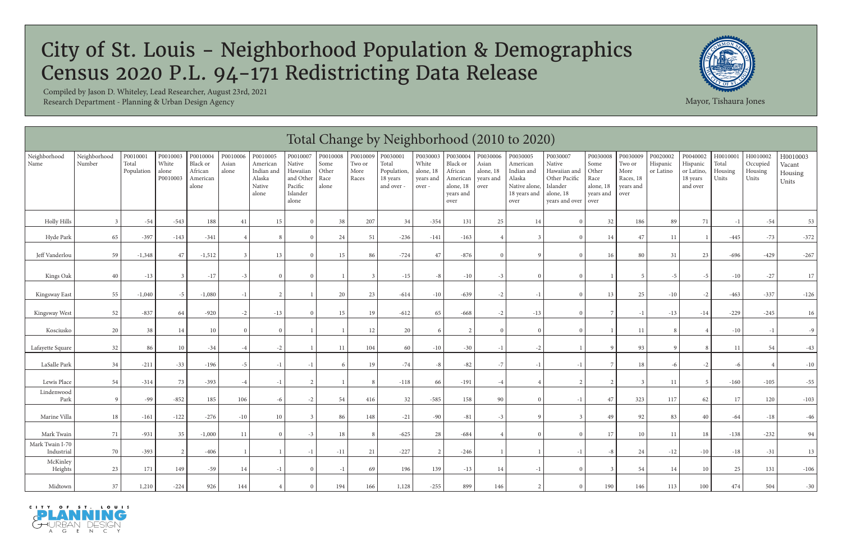|                               | Total Change by Neighborhood (2010 to 2020)<br>P0010009<br>Neighborhood<br>P0010003<br>P0010004<br>P0010006<br>P0010007<br>P0010008<br>P0030003<br>P0030006<br>P0030008<br>P0020002<br>P0010001<br>P0010005<br>P0030001<br>P0030004<br>P0030005<br>P0030009<br>P0040002<br>H001000<br>H0010002<br>P0030007<br>H0010003 |                     |                            |                                          |                |                                                     |                                                                 |                                |                         |                                              |                                          |                                                                   |                                         |                                                                           |                                                                                    |                                                         |                                                  |                       |                                                |                           |                              |                            |
|-------------------------------|------------------------------------------------------------------------------------------------------------------------------------------------------------------------------------------------------------------------------------------------------------------------------------------------------------------------|---------------------|----------------------------|------------------------------------------|----------------|-----------------------------------------------------|-----------------------------------------------------------------|--------------------------------|-------------------------|----------------------------------------------|------------------------------------------|-------------------------------------------------------------------|-----------------------------------------|---------------------------------------------------------------------------|------------------------------------------------------------------------------------|---------------------------------------------------------|--------------------------------------------------|-----------------------|------------------------------------------------|---------------------------|------------------------------|----------------------------|
| Neighborhood<br>Name          | Number                                                                                                                                                                                                                                                                                                                 | Total<br>Population | White<br>alone<br>P0010003 | Black or<br>African<br>American<br>alone | Asian<br>alone | American<br>Indian and<br>Alaska<br>Native<br>alone | Native<br>Hawaiian<br>and Other<br>Pacific<br>Islander<br>alone | Some<br>Other<br>Race<br>alone | Two or<br>More<br>Races | Total<br>Population,<br>18 years<br>and over | White<br>alone, 18<br>years and<br>over- | Black or<br>African<br>American<br>alone, 18<br>years and<br>over | Asian<br>alone, 18<br>years and<br>over | American<br>Indian and<br>Alaska<br>Native alone,<br>18 years and<br>over | Native<br>Hawaiian and<br>Other Pacific<br>Islander<br>alone, 18<br>years and over | Some<br>Other<br>Race<br>alone, 18<br>years and<br>over | Two or<br>More<br>Races, 18<br>years and<br>over | Hispanic<br>or Latino | Hispanic<br>or Latino,<br>18 years<br>and over | Total<br>Housing<br>Units | Occupied<br>Housing<br>Units | Vacant<br>Housing<br>Units |
| <b>Holly Hills</b>            | -3                                                                                                                                                                                                                                                                                                                     | $-54$               | $-543$                     | 188                                      | 41             | 15                                                  | $\Omega$                                                        | 38                             | 207                     | 34                                           | $-354$                                   | 131                                                               | 25                                      | 14                                                                        | $\Omega$                                                                           | 32                                                      | 186                                              | 89                    | 71                                             | $-1$                      | $-54$                        | 53                         |
| Hyde Park                     | 65                                                                                                                                                                                                                                                                                                                     | $-397$              | $-143$                     | $-341$                                   |                | 8                                                   | $\Omega$                                                        | 24                             | 51                      | $-236$                                       | $-141$                                   | $-163$                                                            |                                         | 3                                                                         |                                                                                    | 14                                                      | $47\,$                                           | 11                    |                                                | $-445$                    | $-73$                        | $-372$                     |
| Jeff Vanderlou                | 59                                                                                                                                                                                                                                                                                                                     | $-1,348$            | 47                         | $-1,512$                                 |                | 13                                                  | $\Omega$                                                        | 15                             | 86                      | $-724$                                       | 47                                       | $-876$                                                            | $\Omega$                                | 9                                                                         | $\Omega$                                                                           | 16                                                      | 80                                               | 31                    | 23                                             | $-696$                    | $-429$                       | $-267$                     |
| Kings Oak                     | $40\,$                                                                                                                                                                                                                                                                                                                 | $-13$               |                            | $-17$                                    | $-3$           | $\Omega$                                            | $\Omega$                                                        |                                |                         | $-15$                                        | $-8$                                     | $-10$                                                             | $-3$                                    | $\Omega$                                                                  | $\Omega$                                                                           |                                                         |                                                  | -5                    | $-5$                                           | $-10$                     | $-27$                        | 17                         |
| Kingsway East                 | 55                                                                                                                                                                                                                                                                                                                     | $-1,040$            | $-5$                       | $-1,080$                                 | $-1$           | $\overline{2}$                                      |                                                                 | 20                             | 23                      | $-614$                                       | $-10$                                    | $-639$                                                            | $-2$                                    | $-1$                                                                      | $\Omega$                                                                           | 13                                                      | 25                                               | $-10$                 | $-2$                                           | $-463$                    | $-337$                       | $-126$                     |
| Kingsway West                 | 52                                                                                                                                                                                                                                                                                                                     | $-837$              | 64                         | $-920$                                   | $-2$           | $-13$                                               | $\Omega$                                                        | 15                             | 19                      | $-612$                                       | 65                                       | $-668$                                                            | $-2$                                    | $-13$                                                                     | $\Omega$                                                                           |                                                         | $-1$                                             | $-13$                 | $-14$                                          | $-229$                    | $-245$                       | 16                         |
| Kosciusko                     | 20                                                                                                                                                                                                                                                                                                                     | 38                  | 14                         | 10                                       | $\Omega$       | $\Omega$                                            |                                                                 |                                | 12                      | 20                                           | -6                                       | 2                                                                 | $\Omega$                                | $\Omega$                                                                  | $\Omega$                                                                           |                                                         | 11                                               |                       |                                                | $-10$                     | $-1$                         | $-9$                       |
| Lafayette Square              | 32                                                                                                                                                                                                                                                                                                                     | 86                  | 10                         | $-34$                                    | $-4$           | $-2$                                                |                                                                 | 11                             | 104                     | 60                                           | $-10$                                    | $-30$                                                             | $-1$                                    | $-2$                                                                      |                                                                                    |                                                         | 93                                               |                       |                                                | <sup>11</sup>             | 54                           | $-43$                      |
| LaSalle Park                  | 34                                                                                                                                                                                                                                                                                                                     | $-211$              | $-33$                      | $-196$                                   | $-5$           | $-1$                                                | $-1$                                                            | 6                              | 19                      | $-74$                                        | $-8$                                     | $-82$                                                             | $-7$                                    | $-1$                                                                      |                                                                                    |                                                         | 18                                               | -6                    | $-2$                                           | -6                        |                              | $-10$                      |
| Lewis Place                   | 54                                                                                                                                                                                                                                                                                                                     | $-314$              | 73                         | $-393$                                   | $-4$           | $-1$                                                |                                                                 |                                |                         | $-118$                                       | 66                                       | $-191$                                                            | $-4$                                    |                                                                           |                                                                                    |                                                         |                                                  | 11                    |                                                | $-160$                    | $-105$                       | $-55$                      |
| Lindenwood<br>Park            | - 9                                                                                                                                                                                                                                                                                                                    | $-99$               | $-852$                     | 185                                      | 106            | -6                                                  | $-2$                                                            | 54                             | 416                     | 32                                           | $-585$                                   | 158                                                               | 90                                      | $\Omega$                                                                  | $-1$                                                                               | 47                                                      | 323                                              | 117                   | 62                                             | 17                        | 120                          | $-103$                     |
| Marine Villa                  | 18                                                                                                                                                                                                                                                                                                                     | $-161$              | $-122$                     | $-276$                                   | $-10$          | 10                                                  | -3                                                              | 86                             | 148                     | $-21$                                        | $-90$                                    | $-81$                                                             | $-3$                                    | $\mathbf{Q}$                                                              | 3                                                                                  | 49                                                      | 92                                               | 83                    | 40                                             | $-64$                     | $-18$                        | $-46$                      |
| Mark Twain                    | 71                                                                                                                                                                                                                                                                                                                     | $-931$              | 35                         | $-1,000$                                 | 11             | $\Omega$                                            | $-3$                                                            | 18                             |                         | $-625$                                       | 28                                       | $-684$                                                            |                                         | $\Omega$                                                                  | $\Omega$                                                                           | 17                                                      | 10                                               | 11                    | 18                                             | $-138$                    | $-232$                       | 94                         |
| Mark Twain I-70<br>Industrial | 70                                                                                                                                                                                                                                                                                                                     | $-393$              |                            | $-406$                                   |                |                                                     | $-1$                                                            | $-11$                          | 21                      | $-227$                                       | 2                                        | $-246$                                                            |                                         |                                                                           |                                                                                    |                                                         | 24                                               | $-12$                 | $-10$                                          | $-18$                     | $-31$                        | 13                         |
| McKinley<br>Heights           | 23                                                                                                                                                                                                                                                                                                                     | 171                 | 149                        | $-59$                                    | 14             | $-1$                                                | $\Omega$                                                        | $-1$                           | 69                      | 196                                          | 139                                      | $-13$                                                             | 14                                      | $-1$                                                                      | $\Omega$                                                                           |                                                         | 54                                               | 14                    | 10                                             | 25                        | 131                          | $-106$                     |
| Midtown                       | 37                                                                                                                                                                                                                                                                                                                     | 1,210               | $-224$                     | 926                                      | 144            |                                                     | $\Omega$                                                        | 194                            | 166                     | 1,128                                        | $-255$                                   | 899                                                               | 146                                     | $\overline{2}$                                                            | $\Omega$                                                                           | 190                                                     | 146                                              | 113                   | 100                                            | 474                       | 504                          | $-30$                      |





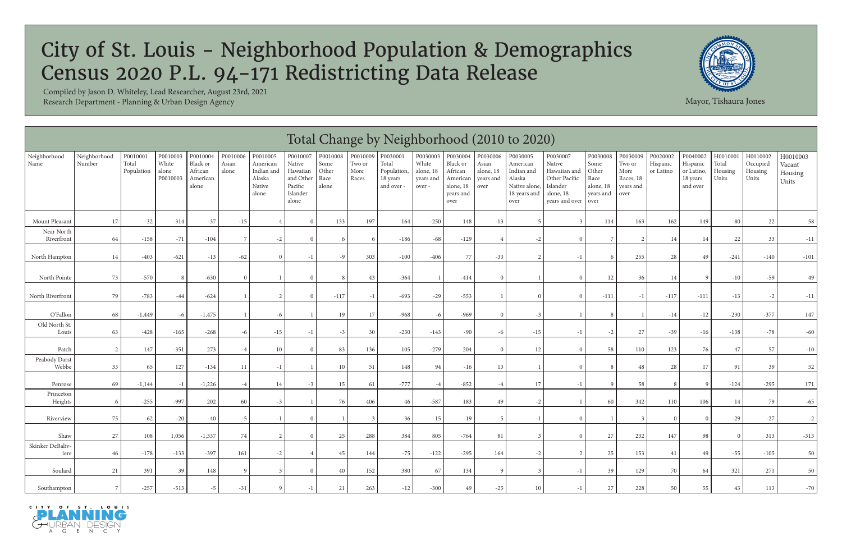|                          | Total Change by Neighborhood (2010 to 2020)<br>Neighborhood<br>P0010001<br>P0010003<br>P0010004<br>P0010006<br>P0010005<br>P0010007<br>P0010008<br>P0010009<br>P0030001<br>P0030003<br>P0030008<br>P0020002<br>H001000<br>H0010002<br>P0030004<br>P0030006<br>P0030005<br>P0030007<br>P0030009<br>P0040002<br>H0010003 |                     |                            |                                          |                |                                                     |                                                                 |                                |                         |                                                |                                           |                                                                   |                                         |                                                                           |                                                                                    |                                                         |                                                  |                       |                                                |                           |                              |                            |
|--------------------------|------------------------------------------------------------------------------------------------------------------------------------------------------------------------------------------------------------------------------------------------------------------------------------------------------------------------|---------------------|----------------------------|------------------------------------------|----------------|-----------------------------------------------------|-----------------------------------------------------------------|--------------------------------|-------------------------|------------------------------------------------|-------------------------------------------|-------------------------------------------------------------------|-----------------------------------------|---------------------------------------------------------------------------|------------------------------------------------------------------------------------|---------------------------------------------------------|--------------------------------------------------|-----------------------|------------------------------------------------|---------------------------|------------------------------|----------------------------|
| Neighborhood<br>Name     | Number                                                                                                                                                                                                                                                                                                                 | Total<br>Population | White<br>alone<br>P0010003 | Black or<br>African<br>American<br>alone | Asian<br>alone | American<br>Indian and<br>Alaska<br>Native<br>alone | Native<br>Hawaiian<br>and Other<br>Pacific<br>Islander<br>alone | Some<br>Other<br>Race<br>alone | Two or<br>More<br>Races | Total<br>Population,<br>18 years<br>and over - | White<br>alone, 18<br>years and<br>over - | Black or<br>African<br>American<br>alone, 18<br>years and<br>over | Asian<br>alone, 18<br>years and<br>over | American<br>Indian and<br>Alaska<br>Native alone,<br>18 years and<br>over | Native<br>Hawaiian and<br>Other Pacific<br>Islander<br>alone, 18<br>years and over | Some<br>Other<br>Race<br>alone, 18<br>years and<br>over | Two or<br>More<br>Races, 18<br>years and<br>over | Hispanic<br>or Latino | Hispanic<br>or Latino,<br>18 years<br>and over | Total<br>Housing<br>Units | Occupied<br>Housing<br>Units | Vacant<br>Housing<br>Units |
| Mount Pleasant           | 17                                                                                                                                                                                                                                                                                                                     | $-32$               | $-314$                     | $-37$                                    | $-15$          |                                                     | $\Omega$                                                        | 133                            | 197                     | 164                                            | $-250$                                    | 148                                                               | $-13$                                   |                                                                           | $-3$                                                                               | 114                                                     | 163                                              | 162                   | 149                                            | 80                        | 22                           | 58                         |
| Near North<br>Riverfront | 64                                                                                                                                                                                                                                                                                                                     | $-158$              | $-71$                      | $-104$                                   |                | $-2$                                                |                                                                 | -6                             |                         | $-186$                                         | $-68$                                     | $-129$                                                            |                                         | $-2$                                                                      |                                                                                    |                                                         |                                                  |                       | 14                                             | 22                        | 33                           | $-11$                      |
| North Hampton            | 14                                                                                                                                                                                                                                                                                                                     | $-403$              | $-621$                     | $-13$                                    | $-62$          |                                                     | $^{-1}$                                                         | -9                             | 303                     | $-100$                                         | $-406$                                    | 77                                                                | $-33$                                   | $\mathcal{L}$                                                             |                                                                                    |                                                         | 255                                              | 28                    | 49                                             | $-241$                    | $-140\,$                     | $-101$                     |
| North Pointe             | 73                                                                                                                                                                                                                                                                                                                     | $-570$              |                            | $-630$                                   |                |                                                     | $\Omega$                                                        |                                | 43                      | $-364$                                         |                                           | $-414$                                                            | $\Omega$                                |                                                                           |                                                                                    | 12                                                      | 36                                               |                       |                                                | $-10$                     | $-59$                        | 49                         |
| North Riverfront         | 79                                                                                                                                                                                                                                                                                                                     | $-783$              | -44                        | $-624$                                   |                |                                                     |                                                                 | $-117$                         | $\lnot$                 | $-693$                                         | $-29$                                     | $-553$                                                            |                                         | $\Omega$                                                                  |                                                                                    | $-111$                                                  | $-1$                                             | $-117$                | $-111$                                         | $-13$                     | $-2$                         | $-11$                      |
| O'Fallon                 | 68                                                                                                                                                                                                                                                                                                                     | $-1,449$            |                            | $-1,475$                                 |                | -6                                                  |                                                                 | 19                             | 17                      | $-968$                                         | -6                                        | $-969$                                                            | $\Omega$                                | $-3$                                                                      |                                                                                    |                                                         |                                                  | $-14$                 | $-12$                                          | $-230$                    | $-377$                       | 147                        |
| Old North St.<br>Louis   | 63                                                                                                                                                                                                                                                                                                                     | $-428$              | $-165$                     | $-268$                                   | -6             | $-15$                                               | $-1$                                                            | $-3$                           | 30                      | $-230$                                         | $-143$                                    | $-90$                                                             | -6                                      | $-15$                                                                     |                                                                                    |                                                         | 27                                               | $-39$                 | $-16$                                          | $-138$                    | $-78$                        | $-60$                      |
| Patch                    | $\overline{2}$                                                                                                                                                                                                                                                                                                         | 147                 | $-351$                     | 273                                      |                | 10                                                  | $\Omega$                                                        | 83                             | 136                     | 105                                            | $-279$                                    | 204                                                               | $\Omega$                                | 12                                                                        |                                                                                    | 58                                                      | 110                                              | 123                   | 76                                             | 47                        | 57                           | $-10$                      |
| Peabody Darst<br>Webbe   | 33                                                                                                                                                                                                                                                                                                                     | 65                  | 127                        | $-134$                                   | 11             | $-1$                                                |                                                                 | 10                             | 51                      | 148                                            | 94                                        | $-16$                                                             | 13                                      |                                                                           |                                                                                    |                                                         | 48                                               | 28                    | 17                                             | 91                        | 39                           | 52                         |
| Penrose                  | 69                                                                                                                                                                                                                                                                                                                     | $-1,144$            | $-1$                       | $-1,226$                                 | $-4$           | 14                                                  | $-3$                                                            | 15                             | 61                      | $-777$                                         | $-4$                                      | $-852$                                                            |                                         | 17                                                                        |                                                                                    |                                                         | 58                                               |                       |                                                | $-124$                    | $-295$                       | 171                        |
| Princeton<br>Heights     | -6                                                                                                                                                                                                                                                                                                                     | $-255$              | $-997$                     | 202                                      | 60             | $-3$                                                |                                                                 | 76                             | 406                     | 46                                             | $-587$                                    | 183                                                               | 49                                      | $-2$                                                                      |                                                                                    | 60                                                      | 342                                              | 110                   | 106                                            |                           | 79                           | $-65$                      |
| Riverview                | 75                                                                                                                                                                                                                                                                                                                     | $-62$               | $-20$                      | $-40$                                    | $-5$           | $-1$                                                | $\Omega$                                                        |                                |                         | $-36$                                          | $-15$                                     | $-19$                                                             | $-5$                                    | $-1$                                                                      |                                                                                    |                                                         |                                                  |                       |                                                | $-29$                     | $-27$                        | $-2$                       |
| Shaw                     | 27                                                                                                                                                                                                                                                                                                                     | 108                 | 1,056                      | $-1,337$                                 | 74             |                                                     |                                                                 | 25                             | 288                     | 384                                            | 805                                       | -764                                                              | 81                                      |                                                                           |                                                                                    | 27                                                      | 232                                              | 147                   | 98                                             |                           | 313                          | $-313$                     |
| Skinker DeBaliv-<br>iere | 46                                                                                                                                                                                                                                                                                                                     | $-178$              | $-133$                     | $-397$                                   | 161            | $-2$                                                |                                                                 | 45                             | 144                     | $-75$                                          | $-122$                                    | $-295$                                                            | 164                                     | $-2$                                                                      |                                                                                    | 25                                                      | 153                                              | 41                    | 49                                             | $-55$                     | $-105$                       | 50                         |
| Soulard                  | 21                                                                                                                                                                                                                                                                                                                     | 391                 | 39                         | 148                                      |                |                                                     | $\Omega$                                                        | 40                             | 152                     | 380                                            | 67                                        | 134                                                               | $\mathbf Q$                             | 3                                                                         |                                                                                    | 39                                                      | 129                                              | 70                    | 64                                             | 321                       | 271                          | 50                         |
| Southampton              |                                                                                                                                                                                                                                                                                                                        | $-257$              | $-513$                     | -5                                       | $-31$          | Q                                                   | - 1                                                             | 21                             | 263                     | $-12$                                          | $-300$                                    | 49                                                                | $-25$                                   | 10                                                                        |                                                                                    | 27                                                      | 228                                              | 50                    | 55                                             | 43                        | 113                          | $-70$                      |





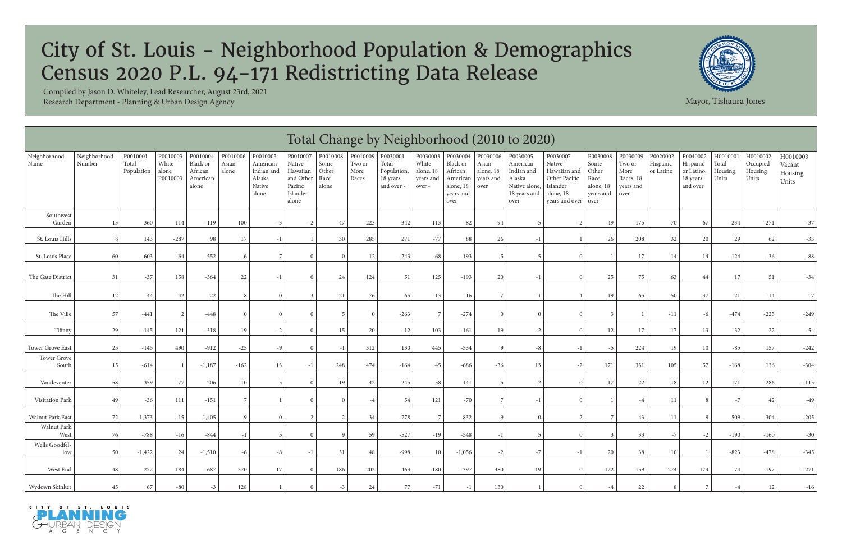|                         | Total Change by Neighborhood (2010 to 2020)<br>P0010007<br>P0010009<br>Neighborhood<br>P0010003<br>P0010004<br>P0010006<br>P0010008<br>P0030003<br>P0030006<br>P0030008<br>P0020002<br>P0010001<br>P0010005<br>P0030001<br>P0030004<br>P0030005<br>P0030009<br>P0040002<br>H001000<br>H0010002<br>P0030007<br>H0010003 |                     |                            |                                          |                |                                                     |                                                                       |                                |                                          |                                              |                                          |                                                                   |                                         |                                                                           |                                                                                    |                                                         |                                                  |                       |                                                |                           |                              |                            |
|-------------------------|------------------------------------------------------------------------------------------------------------------------------------------------------------------------------------------------------------------------------------------------------------------------------------------------------------------------|---------------------|----------------------------|------------------------------------------|----------------|-----------------------------------------------------|-----------------------------------------------------------------------|--------------------------------|------------------------------------------|----------------------------------------------|------------------------------------------|-------------------------------------------------------------------|-----------------------------------------|---------------------------------------------------------------------------|------------------------------------------------------------------------------------|---------------------------------------------------------|--------------------------------------------------|-----------------------|------------------------------------------------|---------------------------|------------------------------|----------------------------|
| Neighborhood<br>Name    | Number                                                                                                                                                                                                                                                                                                                 | Total<br>Population | White<br>alone<br>P0010003 | Black or<br>African<br>American<br>alone | Asian<br>alone | American<br>Indian and<br>Alaska<br>Native<br>alone | $\rm Native$<br>Hawaiian<br>and Other<br>Pacific<br>Islander<br>alone | Some<br>Other<br>Race<br>alone | Two or<br>$\operatorname{More}$<br>Races | Total<br>Population,<br>18 years<br>and over | White<br>alone, 18<br>years and<br>over- | Black or<br>African<br>American<br>alone, 18<br>years and<br>over | Asian<br>alone, 18<br>years and<br>over | American<br>Indian and<br>Alaska<br>Native alone,<br>18 years and<br>over | Native<br>Hawaiian and<br>Other Pacific<br>Islander<br>alone, 18<br>years and over | Some<br>Other<br>Race<br>alone, 18<br>years and<br>over | Two or<br>More<br>Races, 18<br>years and<br>over | Hispanic<br>or Latino | Hispanic<br>or Latino,<br>18 years<br>and over | Total<br>Housing<br>Units | Occupied<br>Housing<br>Units | Vacant<br>Housing<br>Units |
| Southwest<br>Garden     | 13                                                                                                                                                                                                                                                                                                                     | 360                 | 114                        | $-119$                                   | 100            | $-3$                                                | $-2$                                                                  | 47                             | 223                                      | 342                                          | 113                                      | $-82$                                                             | 94                                      | $-5$                                                                      | $-2$                                                                               | 49                                                      | 175                                              | 70                    | 67                                             | 234                       | 271                          | $-37$                      |
| St. Louis Hills         | 8                                                                                                                                                                                                                                                                                                                      | 143                 | $-287$                     | 98                                       | 17             | $-1$                                                |                                                                       | 30                             | 285                                      | 271                                          | $-77$                                    | 88                                                                | 26                                      | $-1$                                                                      |                                                                                    | 26                                                      | 208                                              | 32                    | 20                                             | 29                        | 62                           | $-33$                      |
| St. Louis Place         | 60                                                                                                                                                                                                                                                                                                                     | $-603$              | $-64$                      | $-552$                                   | -6             |                                                     | $\Omega$                                                              | $\Omega$                       | 12                                       | $-243$                                       | $-68$                                    | $-193$                                                            | $-5$                                    | $\overline{5}$                                                            |                                                                                    |                                                         | $17\,$                                           | 14                    | 14                                             | $-124$                    | $-36$                        | $-88$                      |
| The Gate Distric        | 31                                                                                                                                                                                                                                                                                                                     | $-37$               | 158                        | $-364$                                   | 22             | $-1$                                                | $\Omega$                                                              | 24                             | 124                                      | 51                                           | 125                                      | $-193$                                                            | 20                                      | $-1$                                                                      | $\Omega$                                                                           | 25                                                      | 75                                               | 63                    | 44                                             | 17                        | 51                           | $-34$                      |
| The Hill                | 12                                                                                                                                                                                                                                                                                                                     | 44                  | $-42$                      | $-22$                                    |                | $\Omega$                                            |                                                                       | 21                             | 76                                       | 65                                           | $-13$                                    | $-16$                                                             |                                         | $-1$                                                                      |                                                                                    | 19                                                      | 65                                               | 50                    | 37                                             | $-21$                     | $-14$                        | $-7$                       |
| The Ville               | 57                                                                                                                                                                                                                                                                                                                     | $-441$              |                            | $-448$                                   |                | $\Omega$                                            | $\Omega$                                                              | -5                             |                                          | $-263$                                       |                                          | $-274$                                                            | $\Omega$                                | $\Omega$                                                                  |                                                                                    |                                                         |                                                  | $-11$                 |                                                | $-474$                    | $-225$                       | $-249$                     |
| Tiffany                 | 29                                                                                                                                                                                                                                                                                                                     | $-145$              | 121                        | $-318$                                   | 19             | $-2$                                                | $\Omega$                                                              | 15                             | 20                                       | $-12$                                        | 103                                      | $-161$                                                            | 19                                      | $-2$                                                                      | $\Omega$                                                                           | 12                                                      | 17                                               | 17                    | 13                                             | $-32$                     | 22                           | $-54$                      |
| <b>Tower Grove East</b> | 25                                                                                                                                                                                                                                                                                                                     | $-145$              | 490                        | $-912$                                   | $-25$          | $-9$                                                | $\Omega$                                                              | $-1$                           | 312                                      | 130                                          | 445                                      | $-534$                                                            |                                         | $-8$                                                                      |                                                                                    | $-5$                                                    | 224                                              | 19                    | 10                                             | $-85$                     | 157                          | $-242$                     |
| Tower Grove<br>South    | 15                                                                                                                                                                                                                                                                                                                     | $-614$              |                            | $-1,187$                                 | $-162$         | 13                                                  | $-1$                                                                  | 248                            | 474                                      | $-164$                                       | 45                                       | $-686$                                                            | $-36$                                   | 13                                                                        | $-2$                                                                               | 171                                                     | 331                                              | 105                   | 57                                             | $-168$                    | 136                          | $-304$                     |
| Vandeventer             | 58                                                                                                                                                                                                                                                                                                                     | 359                 | 77                         | 206                                      | 10             | -5                                                  | $\theta$                                                              | 19                             | 42                                       | 245                                          | 58                                       | 141                                                               | -5                                      | 2                                                                         | $\Omega$                                                                           | 17                                                      | 22                                               | 18                    | 12                                             | 171                       | 286                          | $-115$                     |
| Visitation Park         | 49                                                                                                                                                                                                                                                                                                                     | $-36$               | 111                        | $-151$                                   |                |                                                     | $\Omega$                                                              | $\Omega$                       |                                          | 54                                           | 121                                      | $-70$                                                             | 7                                       | $-1$                                                                      | $\Omega$                                                                           |                                                         | $-4$                                             | 11                    |                                                | $-7$                      | 42                           | $-49$                      |
| Walnut Park East        | 72                                                                                                                                                                                                                                                                                                                     | $-1,373$            | $-15$                      | $-1,405$                                 | $\Omega$       | $\Omega$                                            | $\gamma$                                                              | $\overline{c}$                 | 34                                       | $-778$                                       | $-7$                                     | $-832$                                                            |                                         | $\Omega$                                                                  | $\mathfrak{D}$                                                                     |                                                         | 43                                               | 11                    |                                                | $-509$                    | $-304$                       | $-205$                     |
| Walnut Park<br>West     | 76                                                                                                                                                                                                                                                                                                                     | $-788$              | $-16$                      | $-844$                                   | $-1$           |                                                     | $\Omega$                                                              | Q                              | 59                                       | $-527$                                       | $-19$                                    | $-548$                                                            | $-1$                                    | -5                                                                        | $\Omega$                                                                           |                                                         | 33                                               | $-7$                  | $-2$                                           | $-190$                    | $-160$                       | $-30$                      |
| Wells Goodfel-<br>low   | 50                                                                                                                                                                                                                                                                                                                     | $-1,422$            | 24                         | $-1,510$                                 | -6             | $-8$                                                | $-1$                                                                  | 31                             | 48                                       | $-998$                                       | 10                                       | $-1,056$                                                          | $-2$                                    | $^{\rm -7}$                                                               | $-1$                                                                               | 20                                                      | 38                                               | 10                    |                                                | $-823$                    | $-478$                       | $-345$                     |
| West End                | $48\,$                                                                                                                                                                                                                                                                                                                 | 272                 | 184                        | $-687$                                   | 370            | $17\,$                                              | $\theta$                                                              | 186                            | 202                                      | 463                                          | 180                                      | $-397$                                                            | 380                                     | 19                                                                        | $\Omega$                                                                           | 122                                                     | 159                                              | 274                   | 174                                            | $\mbox{-} 74$             | 197                          | $-271$                     |
| Wydown Skinker          | $45\,$                                                                                                                                                                                                                                                                                                                 | 67                  | $-80$                      |                                          | 128            |                                                     | $\Omega$                                                              | $-3$                           | 24                                       | $77\,$                                       | $-71$                                    |                                                                   | 130                                     |                                                                           |                                                                                    |                                                         | 22                                               |                       |                                                |                           | 12                           | $-16$                      |